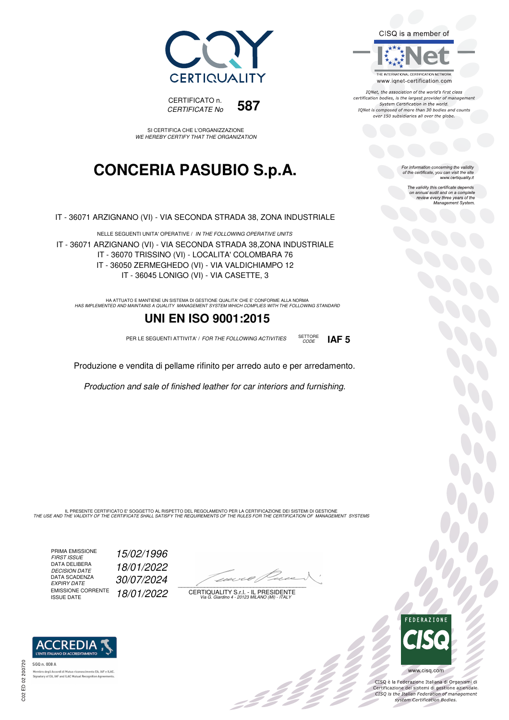



SI CERTIFICA CHE L'ORGANIZZAZIONE WE HEREBY CERTIFY THAT THE ORGANIZATION

### **CONCERIA PASUBIO S.p.A.**

IT - 36071 ARZIGNANO (VI) - VIA SECONDA STRADA 38, ZONA INDUSTRIALE

NELLE SEGUENTI UNITA' OPERATIVE / IN THE FOLLOWING OPERATIVE UNITS IT - 36071 ARZIGNANO (VI) - VIA SECONDA STRADA 38,ZONA INDUSTRIALE IT - 36070 TRISSINO (VI) - LOCALITA' COLOMBARA 76 IT - 36050 ZERMEGHEDO (VI) - VIA VALDICHIAMPO 12 IT - 36045 LONIGO (VI) - VIA CASETTE, 3

HA ATTUATO E MANTIENE UN SISTEMA DI GESTIONE QUALITA' CHE E' CONFORME ALLA NORMA<br>HAS IMPLEMENTED AND MAINTAINS A QUALITY MANAGEMENT SYSTEM WHICH COMPLIES WITH THE FOLLOWING STANDARD

### **UNI EN ISO 9001:2015**

PER LE SEGUENTI ATTIVITA' / FOR THE FOLLOWING ACTIVITIES SETTORE

Produzione e vendita di pellame rifinito per arredo auto e per arredamento.

Production and sale of finished leather for car interiors and furnishing.

IL PRESENTE CERTIFICATO E' SOGGETTO AL RISPETTO DEL REGOLAMENTO PER LA CERTIFICAZIONE DEI SISTEMI DI GESTIONE<br>THE USE AND THE VALIDITY OF THE CERTIFICATE SHALL SATISFY THE REQUIREMENTS OF THE RULES FOR THE CERTIFICATION OF

PRIMA EMISSIONE<br>FIRST ISSUE DATA DELIBERA DECISION DATE<br>DATA SCADENZA<br>EXPIRY DATE EMISSIONE CORRENTE<br>ISSUE DATE 15/02/1996 18/01/2022 30/07/2024 18/01/2022

 $\overline{\phantom{a}}$ 

, 3 3 3 3 3

CERTIQUALITY S.r.l. - IL PRESIDENTE Via G. Giardino 4 - 20123 MILANO (MI) - ITALY



IONet, the association of the world's first class certification bodies, is the largest provider of management System Certification in the world. IQNet is composed of more than 30 bodies and counts over 150 subsidiaries all over the globe.

**IAF 5** 

For information concerning the validity<br>of the certificate, you can visit the site<br>www.certiquality.it

The validity this certificate depends on annual audit and on a complete review every three years of the Management System.



bo<br>Do

CISQ è la Federazione Italiana di Organismi di Certificazione dei sistemi di gestione aziendale.<br>CISQ is the Italian Federation of management system Certification Bodies.



tory of EA, IAF and ILAC Mutual Recogniti